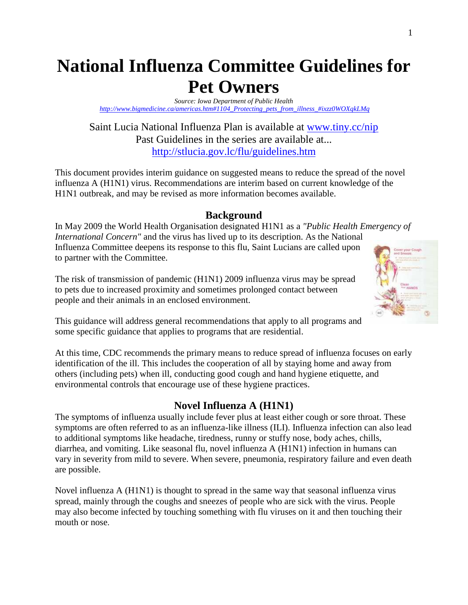# **National Influenza Committee Guidelines for Pet Owners**

*Source: Iowa Department of Public Health http://www.bigmedicine.ca/americas.htm#1104\_Protecting\_pets\_from\_illness\_#ixzz0WOXqkLMq* 

Saint Lucia National Influenza Plan is available at www.tiny.cc/nip Past Guidelines in the series are available at... http://stlucia.gov.lc/flu/guidelines.htm

This document provides interim guidance on suggested means to reduce the spread of the novel influenza A (H1N1) virus. Recommendations are interim based on current knowledge of the H1N1 outbreak, and may be revised as more information becomes available.

#### **Background**

In May 2009 the World Health Organisation designated H1N1 as a *"Public Health Emergency of International Concern"* and the virus has lived up to its description. As the National Influenza Committee deepens its response to this flu, Saint Lucians are called upon to partner with the Committee.

The risk of transmission of pandemic (H1N1) 2009 influenza virus may be spread to pets due to increased proximity and sometimes prolonged contact between people and their animals in an enclosed environment.



This guidance will address general recommendations that apply to all programs and some specific guidance that applies to programs that are residential.

At this time, CDC recommends the primary means to reduce spread of influenza focuses on early identification of the ill. This includes the cooperation of all by staying home and away from others (including pets) when ill, conducting good cough and hand hygiene etiquette, and environmental controls that encourage use of these hygiene practices.

### **Novel Influenza A (H1N1)**

The symptoms of influenza usually include fever plus at least either cough or sore throat. These symptoms are often referred to as an influenza-like illness (ILI). Influenza infection can also lead to additional symptoms like headache, tiredness, runny or stuffy nose, body aches, chills, diarrhea, and vomiting. Like seasonal flu, novel influenza A (H1N1) infection in humans can vary in severity from mild to severe. When severe, pneumonia, respiratory failure and even death are possible.

Novel influenza A (H1N1) is thought to spread in the same way that seasonal influenza virus spread, mainly through the coughs and sneezes of people who are sick with the virus. People may also become infected by touching something with flu viruses on it and then touching their mouth or nose.